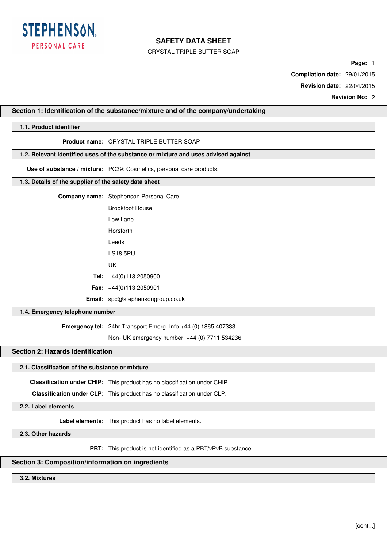

CRYSTAL TRIPLE BUTTER SOAP

**Page:** 1

**Compilation date:** 29/01/2015

**Revision date:** 22/04/2015

**Revision No:** 2

## **Section 1: Identification of the substance/mixture and of the company/undertaking**

# **1.1. Product identifier**

# **Product name:** CRYSTAL TRIPLE BUTTER SOAP

## **1.2. Relevant identified uses of the substance or mixture and uses advised against**

**Use of substance / mixture:** PC39: Cosmetics, personal care products.

## **1.3. Details of the supplier of the safety data sheet**

| <b>Company name:</b> Stephenson Personal Care |
|-----------------------------------------------|
|                                               |

| Brookfoot House |                                |
|-----------------|--------------------------------|
|                 | lowlane                        |
|                 | Horsforth                      |
|                 | I eeds                         |
|                 | I S18 5PU                      |
|                 | UΚ                             |
|                 | Tel: $+44(0)1132050900$        |
|                 | <b>Fax:</b> $+44(0)1132050901$ |
| Email:          | spc@stephensongroup.co.uk      |

### **1.4. Emergency telephone number**

**Emergency tel:** 24hr Transport Emerg. Info +44 (0) 1865 407333

Non- UK emergency number: +44 (0) 7711 534236

# **Section 2: Hazards identification**

# **2.1. Classification of the substance or mixture**

**Classification under CHIP:** This product has no classification under CHIP.

**Classification under CLP:** This product has no classification under CLP.

**2.2. Label elements**

**Label elements:** This product has no label elements.

**2.3. Other hazards**

**PBT:** This product is not identified as a PBT/vPvB substance.

# **Section 3: Composition/information on ingredients**

### **3.2. Mixtures**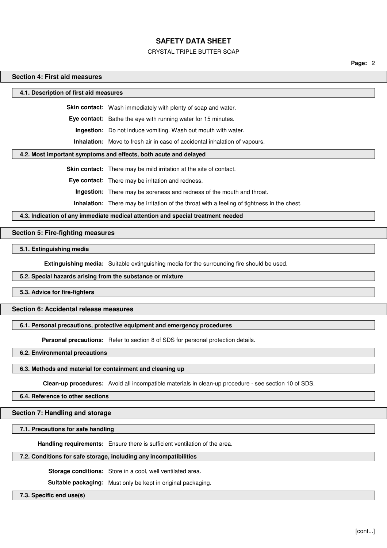### CRYSTAL TRIPLE BUTTER SOAP

**Page:** 2

### **Section 4: First aid measures**

**4.1. Description of first aid measures**

**Skin contact:** Wash immediately with plenty of soap and water.

**Eye contact:** Bathe the eye with running water for 15 minutes.

**Ingestion:** Do not induce vomiting. Wash out mouth with water.

**Inhalation:** Move to fresh air in case of accidental inhalation of vapours.

#### **4.2. Most important symptoms and effects, both acute and delayed**

**Skin contact:** There may be mild irritation at the site of contact.

**Eye contact:** There may be irritation and redness.

**Ingestion:** There may be soreness and redness of the mouth and throat.

**Inhalation:** There may be irritation of the throat with a feeling of tightness in the chest.

**4.3. Indication of any immediate medical attention and special treatment needed**

### **Section 5: Fire-fighting measures**

**5.1. Extinguishing media**

**Extinguishing media:** Suitable extinguishing media for the surrounding fire should be used.

### **5.2. Special hazards arising from the substance or mixture**

**5.3. Advice for fire-fighters**

## **Section 6: Accidental release measures**

## **6.1. Personal precautions, protective equipment and emergency procedures**

**Personal precautions:** Refer to section 8 of SDS for personal protection details.

**6.2. Environmental precautions**

#### **6.3. Methods and material for containment and cleaning up**

**Clean-up procedures:** Avoid all incompatible materials in clean-up procedure - see section 10 of SDS.

**6.4. Reference to other sections**

### **Section 7: Handling and storage**

#### **7.1. Precautions for safe handling**

**Handling requirements:** Ensure there is sufficient ventilation of the area.

### **7.2. Conditions for safe storage, including any incompatibilities**

**Storage conditions:** Store in a cool, well ventilated area.

**Suitable packaging:** Must only be kept in original packaging.

**7.3. Specific end use(s)**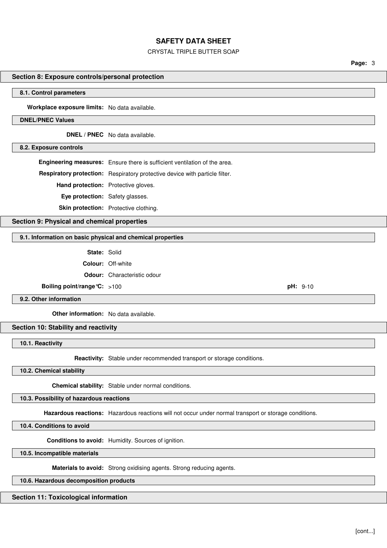# CRYSTAL TRIPLE BUTTER SOAP

**Page:** 3

# **Section 8: Exposure controls/personal protection**

#### **8.1. Control parameters**

**Workplace exposure limits:** No data available.

# **DNEL/PNEC Values**

**DNEL / PNEC** No data available.

#### **8.2. Exposure controls**

**Engineering measures:** Ensure there is sufficient ventilation of the area.

**Respiratory protection:** Respiratory protective device with particle filter.

**Hand protection:** Protective gloves.

**Eye protection:** Safety glasses.

**Skin protection:** Protective clothing.

### **Section 9: Physical and chemical properties**

#### **9.1. Information on basic physical and chemical properties**

**State:** Solid

**Colour:** Off-white

**Odour:** Characteristic odour

**Boiling point/range ℃:** >100 **pH:** 9-10

**9.2. Other information**

**Other information:** No data available.

### **Section 10: Stability and reactivity**

**10.1. Reactivity**

**Reactivity:** Stable under recommended transport or storage conditions.

**10.2. Chemical stability**

**Chemical stability:** Stable under normal conditions.

**10.3. Possibility of hazardous reactions**

**Hazardous reactions:** Hazardous reactions will not occur under normal transport or storage conditions.

**10.4. Conditions to avoid**

**Conditions to avoid:** Humidity. Sources of ignition.

**10.5. Incompatible materials**

**Materials to avoid:** Strong oxidising agents. Strong reducing agents.

# **10.6. Hazardous decomposition products**

# **Section 11: Toxicological information**